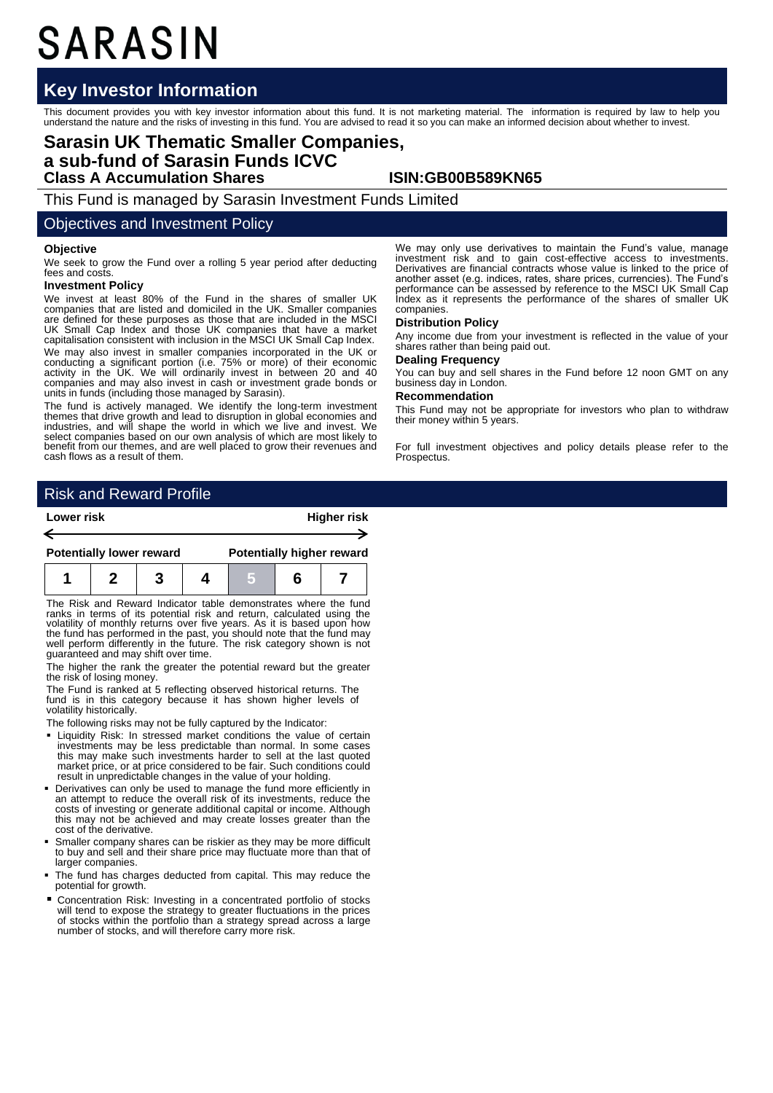# SARASIN

## **Key Investor Information**

This document provides you with key investor information about this fund. It is not marketing material. The information is required by law to help you<br>understand the nature and the risks of investing in this fund. You are

## **Sarasin UK Thematic Smaller Companies, a sub-fund of Sarasin Funds ICVC Class A Accumulation Shares ISIN:GB00B589KN65**

This Fund is managed by Sarasin Investment Funds Limited

### Objectives and Investment Policy

#### **Objective**

We seek to grow the Fund over a rolling 5 year period after deducting fees and costs.

#### **Investment Policy**

We invest at least 80% of the Fund in the shares of smaller UK companies that are listed and domiciled in the UK. Smaller companies are defined for these purposes as those that are included in the MSCI UK Small Cap Index and those UK companies that have a market capitalisation consistent with inclusion in the MSCI UK Small Cap Index. We may also invest in smaller companies incorporated in the UK or conducting a significant portion (i.e. 75% or more) of their economic activity in the UK. We will ordinarily invest in between 20 and 40 companies and may also invest in cash or investment grade bonds or units in funds (including those managed by Sarasin).

The fund is actively managed. We identify the long-term investment themes that drive growth and lead to disruption in global economies and industries, and will shape the world in which we live and invest. We select companies based on our own analysis of which are most likely to benefit from our themes, and are well placed to grow their revenues and cash flows as a result of them.

We may only use derivatives to maintain the Fund's value, manage investment risk and to gain cost-effective access to investments. Derivatives are financial contracts whose value is linked to the price of another asset (e.g. indices, rates, share prices, currencies). The Fund's performance can be assessed by reference to the MSCI UK Small Cap Index as it represents the performance of the shares of smaller UK companies.

#### **Distribution Policy**

Any income due from your investment is reflected in the value of your shares rather than being paid out.

## **Dealing Frequency**

You can buy and sell shares in the Fund before 12 noon GMT on any business day in London.

#### **Recommendation**

This Fund may not be appropriate for investors who plan to withdraw their money within 5 years.

For full investment objectives and policy details please refer to the Prospectus.

## Risk and Reward Profile

| Lower risk                      |  |  |  | <b>Higher risk</b>               |   |  |
|---------------------------------|--|--|--|----------------------------------|---|--|
| <b>Potentially lower reward</b> |  |  |  | <b>Potentially higher reward</b> |   |  |
|                                 |  |  |  |                                  | 6 |  |

The Risk and Reward Indicator table demonstrates where the fund ranks in terms of its potential risk and return, calculated using the volatility of monthly returns over five years. As it is based upon how the fund has performed in the past, you should note that the fund may well perform differently in the future. The risk category shown is not guaranteed and may shift over time.

The higher the rank the greater the potential reward but the greater the risk of losing money.

The Fund is ranked at 5 reflecting observed historical returns. The fund is in this category because it has shown higher levels of volatility historically.

The following risks may not be fully captured by the Indicator:

- Liquidity Risk: In stressed market conditions the value of certain investments may be less predictable than normal. In some cases this may make such investments harder to sell at the last quoted market price, or at price considered to be fair. Such conditions could result in unpredictable changes in the value of your holding.
- Derivatives can only be used to manage the fund more efficiently in an attempt to reduce the overall risk of its investments, reduce the costs of investing or generate additional capital or income. Although this may not be achieved and may create losses greater than the cost of the derivative.
- Smaller company shares can be riskier as they may be more difficult to buy and sell and their share price may fluctuate more than that of larger companies.
- The fund has charges deducted from capital. This may reduce the potential for growth.
- Concentration Risk: Investing in a concentrated portfolio of stocks will tend to expose the strategy to greater fluctuations in the prices of stocks within the portfolio than a strategy spread across a large number of stocks, and will therefore carry more risk.